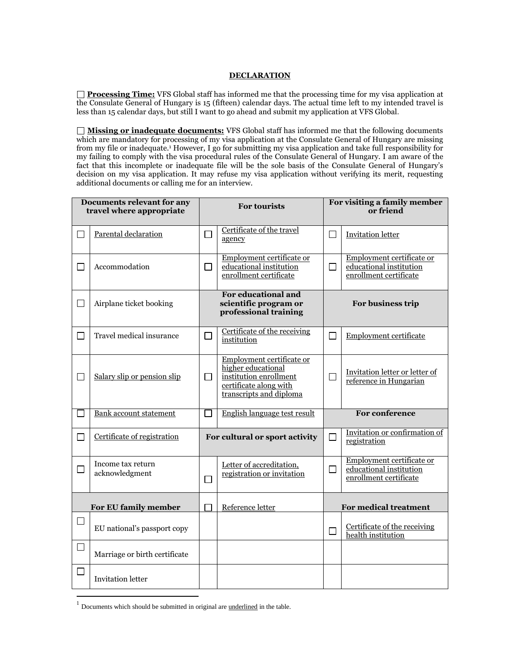## **DECLARATION**

**Processing Time:** VFS Global staff has informed me that the processing time for my visa application at the Consulate General of Hungary is 15 (fifteen) calendar days. The actual time left to my intended travel is less than 15 calendar days, but still I want to go ahead and submit my application at VFS Global.

**Missing or inadequate documents:** VFS Global staff has informed me that the following documents which are mandatory for processing of my visa application at the Consulate General of Hungary are missing from my file or inadequate.<sup>1</sup> However, I go for submitting my visa application and take full responsibility for my failing to comply with the visa procedural rules of the Consulate General of Hungary. I am aware of the fact that this incomplete or inadequate file will be the sole basis of the Consulate General of Hungary's decision on my visa application. It may refuse my visa application without verifying its merit, requesting additional documents or calling me for an interview.

| Documents relevant for any<br>travel where appropriate |                                     | <b>For tourists</b>                                                   |                                                                                                                                | For visiting a family member<br>or friend |                                                                                |
|--------------------------------------------------------|-------------------------------------|-----------------------------------------------------------------------|--------------------------------------------------------------------------------------------------------------------------------|-------------------------------------------|--------------------------------------------------------------------------------|
| $\Box$                                                 | Parental declaration                | П                                                                     | Certificate of the travel<br>agency                                                                                            | $\Box$                                    | <b>Invitation letter</b>                                                       |
| $\Box$                                                 | Accommodation                       | П                                                                     | Employment certificate or<br>educational institution<br>enrollment certificate                                                 | $\Box$                                    | Employment certificate or<br>educational institution<br>enrollment certificate |
| $\Box$                                                 | Airplane ticket booking             | For educational and<br>scientific program or<br>professional training |                                                                                                                                | For business trip                         |                                                                                |
| $\Box$                                                 | Travel medical insurance            | $\Box$                                                                | Certificate of the receiving<br>institution                                                                                    | $\Box$                                    | <b>Employment certificate</b>                                                  |
| $\Box$                                                 | Salary slip or pension slip         | $\Box$                                                                | Employment certificate or<br>higher educational<br>institution enrollment<br>certificate along with<br>transcripts and diploma | $\Box$                                    | Invitation letter or letter of<br>reference in Hungarian                       |
|                                                        | <b>Bank account statement</b>       |                                                                       | English language test result                                                                                                   |                                           | <b>For conference</b>                                                          |
| $\Box$                                                 | Certificate of registration         |                                                                       | For cultural or sport activity                                                                                                 | $\Box$                                    | Invitation or confirmation of<br>registration                                  |
| $\Box$                                                 | Income tax return<br>acknowledgment | П                                                                     | Letter of accreditation,<br>registration or invitation                                                                         | $\Box$                                    | Employment certificate or<br>educational institution<br>enrollment certificate |
| For EU family member                                   |                                     |                                                                       | Reference letter                                                                                                               | For medical treatment                     |                                                                                |
| $\Box$                                                 | EU national's passport copy         |                                                                       |                                                                                                                                | $\Box$                                    | Certificate of the receiving<br>health institution                             |
| $\Box$                                                 | Marriage or birth certificate       |                                                                       |                                                                                                                                |                                           |                                                                                |
|                                                        | <b>Invitation letter</b>            |                                                                       |                                                                                                                                |                                           |                                                                                |

 $<sup>1</sup>$  Documents which should be submitted in original are <u>underlined</u> in the table.</sup>

 $\overline{a}$